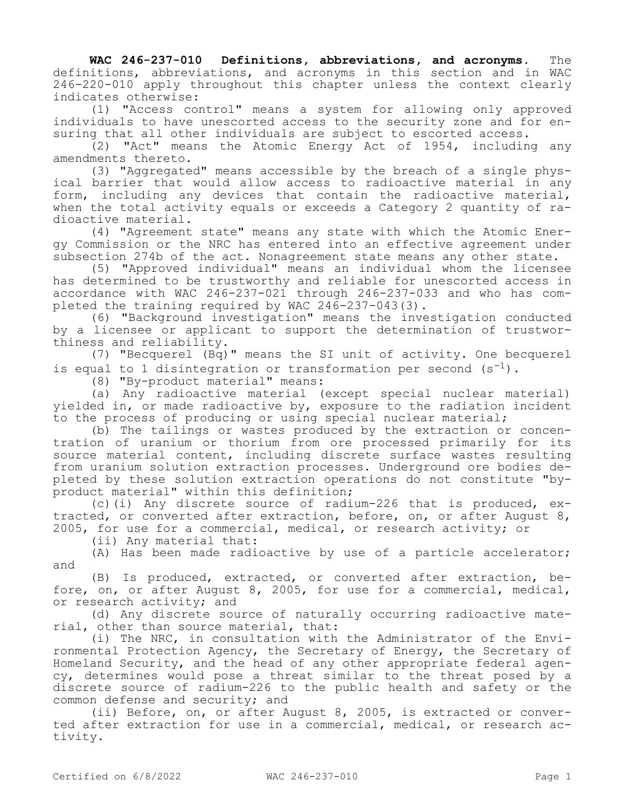**WAC 246-237-010 Definitions, abbreviations, and acronyms.** The definitions, abbreviations, and acronyms in this section and in WAC 246-220-010 apply throughout this chapter unless the context clearly indicates otherwise:

(1) "Access control" means a system for allowing only approved individuals to have unescorted access to the security zone and for ensuring that all other individuals are subject to escorted access.

 $(2)$  "Act" means the Atomic Energy Act of 1954, including any amendments thereto.

(3) "Aggregated" means accessible by the breach of a single physical barrier that would allow access to radioactive material in any form, including any devices that contain the radioactive material, when the total activity equals or exceeds a Category 2 quantity of radioactive material.

(4) "Agreement state" means any state with which the Atomic Energy Commission or the NRC has entered into an effective agreement under subsection 274b of the act. Nonagreement state means any other state.

(5) "Approved individual" means an individual whom the licensee has determined to be trustworthy and reliable for unescorted access in accordance with WAC 246-237-021 through 246-237-033 and who has completed the training required by WAC 246-237-043(3).

(6) "Background investigation" means the investigation conducted by a licensee or applicant to support the determination of trustworthiness and reliability.

(7) "Becquerel (Bq)" means the SI unit of activity. One becquerel is equal to 1 disintegration or transformation per second  $(s^{-1})$ .

(8) "By-product material" means:

(a) Any radioactive material (except special nuclear material) yielded in, or made radioactive by, exposure to the radiation incident to the process of producing or using special nuclear material;

(b) The tailings or wastes produced by the extraction or concentration of uranium or thorium from ore processed primarily for its source material content, including discrete surface wastes resulting from uranium solution extraction processes. Underground ore bodies depleted by these solution extraction operations do not constitute "byproduct material" within this definition;

(c)(i) Any discrete source of radium-226 that is produced, extracted, or converted after extraction, before, on, or after August 8, 2005, for use for a commercial, medical, or research activity; or

(ii) Any material that:

(A) Has been made radioactive by use of a particle accelerator; and

(B) Is produced, extracted, or converted after extraction, before, on, or after August 8, 2005, for use for a commercial, medical, or research activity; and

(d) Any discrete source of naturally occurring radioactive material, other than source material, that:

(i) The NRC, in consultation with the Administrator of the Environmental Protection Agency, the Secretary of Energy, the Secretary of Homeland Security, and the head of any other appropriate federal agency, determines would pose a threat similar to the threat posed by a discrete source of radium-226 to the public health and safety or the common defense and security; and

(ii) Before, on, or after August 8, 2005, is extracted or converted after extraction for use in a commercial, medical, or research activity.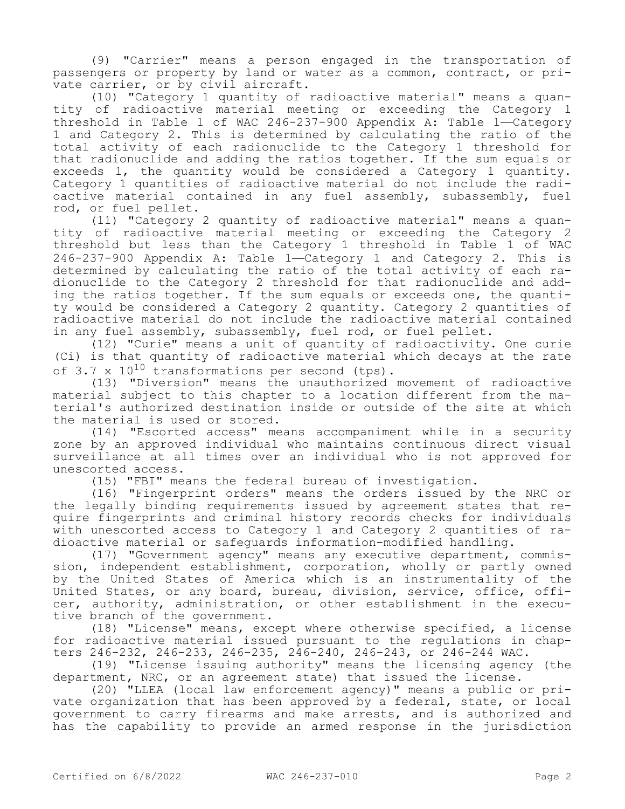(9) "Carrier" means a person engaged in the transportation of passengers or property by land or water as a common, contract, or private carrier, or by civil aircraft.

(10) "Category 1 quantity of radioactive material" means a quantity of radioactive material meeting or exceeding the Category 1 threshold in Table 1 of WAC 246-237-900 Appendix A: Table 1—Category 1 and Category 2. This is determined by calculating the ratio of the total activity of each radionuclide to the Category 1 threshold for that radionuclide and adding the ratios together. If the sum equals or exceeds 1, the quantity would be considered a Category 1 quantity. Category 1 quantities of radioactive material do not include the radioactive material contained in any fuel assembly, subassembly, fuel rod, or fuel pellet.

(11) "Category 2 quantity of radioactive material" means a quantity of radioactive material meeting or exceeding the Category 2 threshold but less than the Category 1 threshold in Table 1 of WAC 246-237-900 Appendix A: Table 1—Category 1 and Category 2. This is determined by calculating the ratio of the total activity of each radionuclide to the Category 2 threshold for that radionuclide and adding the ratios together. If the sum equals or exceeds one, the quantity would be considered a Category 2 quantity. Category 2 quantities of radioactive material do not include the radioactive material contained in any fuel assembly, subassembly, fuel rod, or fuel pellet.

(12) "Curie" means a unit of quantity of radioactivity. One curie (Ci) is that quantity of radioactive material which decays at the rate of  $3.7 \times 10^{10}$  transformations per second (tps).

(13) "Diversion" means the unauthorized movement of radioactive material subject to this chapter to a location different from the material's authorized destination inside or outside of the site at which the material is used or stored.

(14) "Escorted access" means accompaniment while in a security zone by an approved individual who maintains continuous direct visual surveillance at all times over an individual who is not approved for unescorted access.

(15) "FBI" means the federal bureau of investigation.

(16) "Fingerprint orders" means the orders issued by the NRC or the legally binding requirements issued by agreement states that require fingerprints and criminal history records checks for individuals with unescorted access to Category 1 and Category 2 quantities of radioactive material or safeguards information-modified handling.

(17) "Government agency" means any executive department, commission, independent establishment, corporation, wholly or partly owned by the United States of America which is an instrumentality of the United States, or any board, bureau, division, service, office, officer, authority, administration, or other establishment in the executive branch of the government.

(18) "License" means, except where otherwise specified, a license for radioactive material issued pursuant to the regulations in chapters 246-232, 246-233, 246-235, 246-240, 246-243, or 246-244 WAC.

(19) "License issuing authority" means the licensing agency (the department, NRC, or an agreement state) that issued the license.

(20) "LLEA (local law enforcement agency)" means a public or private organization that has been approved by a federal, state, or local government to carry firearms and make arrests, and is authorized and has the capability to provide an armed response in the jurisdiction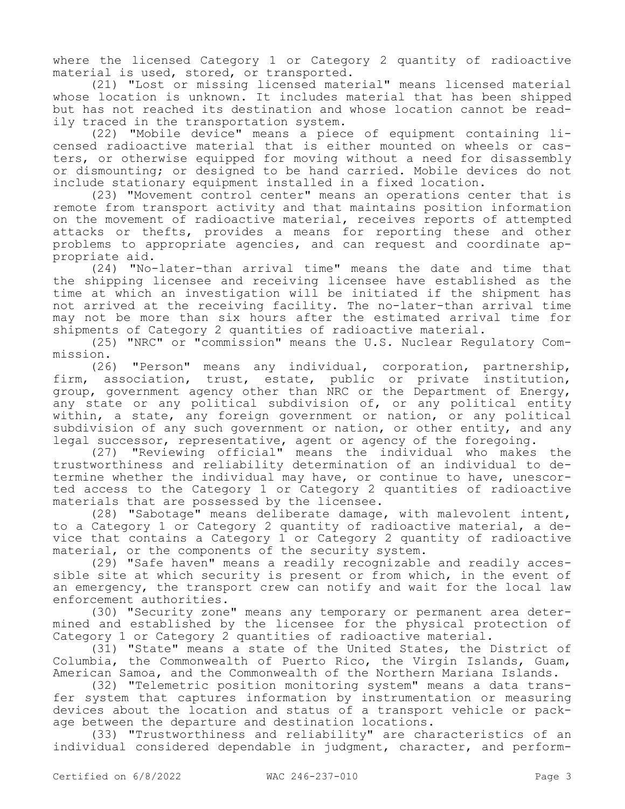where the licensed Category 1 or Category 2 quantity of radioactive material is used, stored, or transported.

(21) "Lost or missing licensed material" means licensed material whose location is unknown. It includes material that has been shipped but has not reached its destination and whose location cannot be readily traced in the transportation system.

(22) "Mobile device" means a piece of equipment containing licensed radioactive material that is either mounted on wheels or casters, or otherwise equipped for moving without a need for disassembly or dismounting; or designed to be hand carried. Mobile devices do not include stationary equipment installed in a fixed location.

(23) "Movement control center" means an operations center that is remote from transport activity and that maintains position information on the movement of radioactive material, receives reports of attempted attacks or thefts, provides a means for reporting these and other problems to appropriate agencies, and can request and coordinate appropriate aid.

(24) "No-later-than arrival time" means the date and time that the shipping licensee and receiving licensee have established as the time at which an investigation will be initiated if the shipment has not arrived at the receiving facility. The no-later-than arrival time may not be more than six hours after the estimated arrival time for shipments of Category 2 quantities of radioactive material.

(25) "NRC" or "commission" means the U.S. Nuclear Regulatory Commission.

(26) "Person" means any individual, corporation, partnership, firm, association, trust, estate, public or private institution, group, government agency other than NRC or the Department of Energy, any state or any political subdivision of, or any political entity within, a state, any foreign government or nation, or any political subdivision of any such government or nation, or other entity, and any legal successor, representative, agent or agency of the foregoing.

(27) "Reviewing official" means the individual who makes the trustworthiness and reliability determination of an individual to determine whether the individual may have, or continue to have, unescorted access to the Category 1 or Category 2 quantities of radioactive materials that are possessed by the licensee.

(28) "Sabotage" means deliberate damage, with malevolent intent, to a Category 1 or Category 2 quantity of radioactive material, a device that contains a Category 1 or Category 2 quantity of radioactive material, or the components of the security system.

(29) "Safe haven" means a readily recognizable and readily accessible site at which security is present or from which, in the event of an emergency, the transport crew can notify and wait for the local law enforcement authorities.

(30) "Security zone" means any temporary or permanent area determined and established by the licensee for the physical protection of Category 1 or Category 2 quantities of radioactive material.

(31) "State" means a state of the United States, the District of Columbia, the Commonwealth of Puerto Rico, the Virgin Islands, Guam, American Samoa, and the Commonwealth of the Northern Mariana Islands.

(32) "Telemetric position monitoring system" means a data transfer system that captures information by instrumentation or measuring devices about the location and status of a transport vehicle or package between the departure and destination locations.

(33) "Trustworthiness and reliability" are characteristics of an individual considered dependable in judgment, character, and perform-